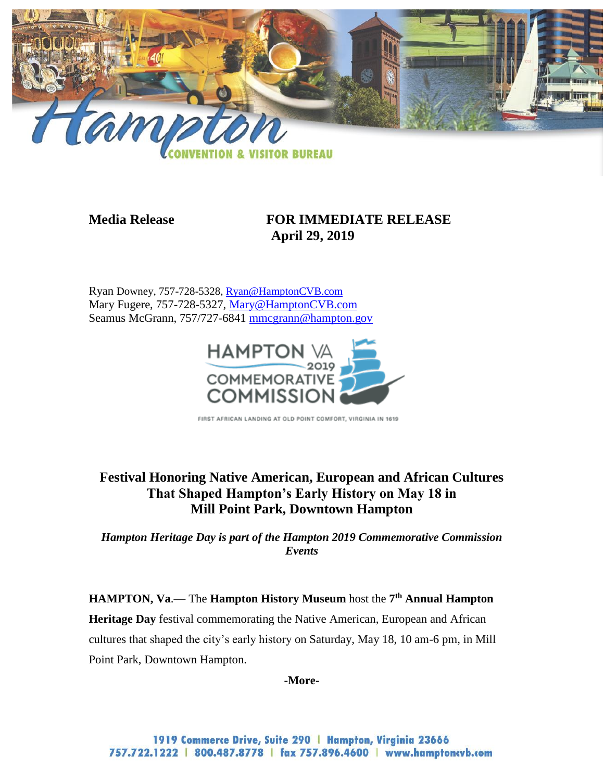

# **Media Release FOR IMMEDIATE RELEASE April 29, 2019**

Ryan Downey, 757-728-5328, [Ryan@HamptonCVB.com](mailto:Ryan@HamptonCVB.com) Mary Fugere, 757-728-5327, [Mary@HamptonCVB.com](mailto:Mary@HamptonCVB.com) Seamus McGrann, 757/727-6841 [mmcgrann@hampton.gov](mailto:mmcgrann@hampton.gov)



FIRST AFRICAN LANDING AT OLD POINT COMFORT, VIRGINIA IN 1619

# **Festival Honoring Native American, European and African Cultures That Shaped Hampton's Early History on May 18 in Mill Point Park, Downtown Hampton**

*Hampton Heritage Day is part of the Hampton 2019 Commemorative Commission Events*

**HAMPTON, Va**.— The **Hampton History Museum** host the **7 th Annual Hampton Heritage Day** festival commemorating the Native American, European and African cultures that shaped the city's early history on Saturday, May 18, 10 am-6 pm, in Mill Point Park, Downtown Hampton.

**-More-**

1919 Commerce Drive, Suite 290 | Hampton, Virginia 23666 757.722.1222 | 800.487.8778 | fax 757.896.4600 | www.hamptoncvb.com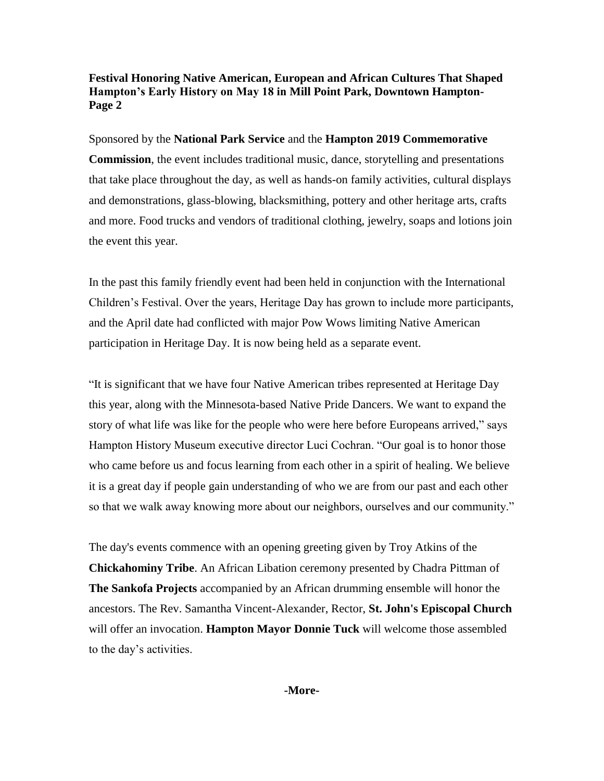Sponsored by the **National Park Service** and the **Hampton 2019 Commemorative Commission**, the event includes traditional music, dance, storytelling and presentations that take place throughout the day, as well as hands-on family activities, cultural displays and demonstrations, glass-blowing, blacksmithing, pottery and other heritage arts, crafts and more. Food trucks and vendors of traditional clothing, jewelry, soaps and lotions join the event this year.

In the past this family friendly event had been held in conjunction with the International Children's Festival. Over the years, Heritage Day has grown to include more participants, and the April date had conflicted with major Pow Wows limiting Native American participation in Heritage Day. It is now being held as a separate event.

"It is significant that we have four Native American tribes represented at Heritage Day this year, along with the Minnesota-based Native Pride Dancers. We want to expand the story of what life was like for the people who were here before Europeans arrived," says Hampton History Museum executive director Luci Cochran. "Our goal is to honor those who came before us and focus learning from each other in a spirit of healing. We believe it is a great day if people gain understanding of who we are from our past and each other so that we walk away knowing more about our neighbors, ourselves and our community."

The day's events commence with an opening greeting given by Troy Atkins of the **Chickahominy Tribe**. An African Libation ceremony presented by Chadra Pittman of **The Sankofa Projects** accompanied by an African drumming ensemble will honor the ancestors. The Rev. Samantha Vincent-Alexander, Rector, **St. John's Episcopal Church** will offer an invocation. **Hampton Mayor Donnie Tuck** will welcome those assembled to the day's activities.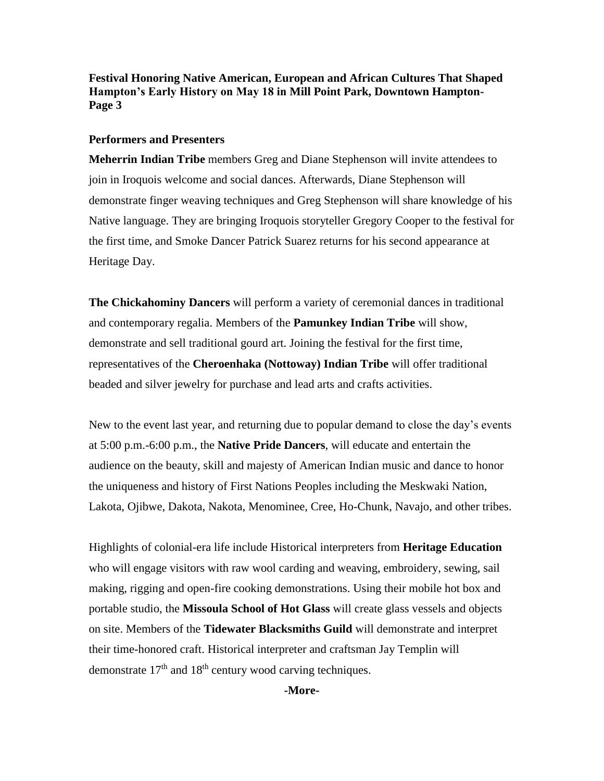#### **Performers and Presenters**

**Meherrin Indian Tribe** members Greg and Diane Stephenson will invite attendees to join in Iroquois welcome and social dances. Afterwards, Diane Stephenson will demonstrate finger weaving techniques and Greg Stephenson will share knowledge of his Native language. They are bringing Iroquois storyteller Gregory Cooper to the festival for the first time, and Smoke Dancer Patrick Suarez returns for his second appearance at Heritage Day.

**The Chickahominy Dancers** will perform a variety of ceremonial dances in traditional and contemporary regalia. Members of the **Pamunkey Indian Tribe** will show, demonstrate and sell traditional gourd art. Joining the festival for the first time, representatives of the **Cheroenhaka (Nottoway) Indian Tribe** will offer traditional beaded and silver jewelry for purchase and lead arts and crafts activities.

New to the event last year, and returning due to popular demand to close the day's events at 5:00 p.m.-6:00 p.m., the **Native Pride Dancers**, will educate and entertain the audience on the beauty, skill and majesty of American Indian music and dance to honor the uniqueness and history of First Nations Peoples including the Meskwaki Nation, Lakota, Ojibwe, Dakota, Nakota, Menominee, Cree, Ho-Chunk, Navajo, and other tribes.

Highlights of colonial-era life include Historical interpreters from **Heritage Education**  who will engage visitors with raw wool carding and weaving, embroidery, sewing, sail making, rigging and open-fire cooking demonstrations. Using their mobile hot box and portable studio, the **Missoula School of Hot Glass** will create glass vessels and objects on site. Members of the **Tidewater Blacksmiths Guild** will demonstrate and interpret their time-honored craft. Historical interpreter and craftsman Jay Templin will demonstrate  $17<sup>th</sup>$  and  $18<sup>th</sup>$  century wood carving techniques.

**-More-**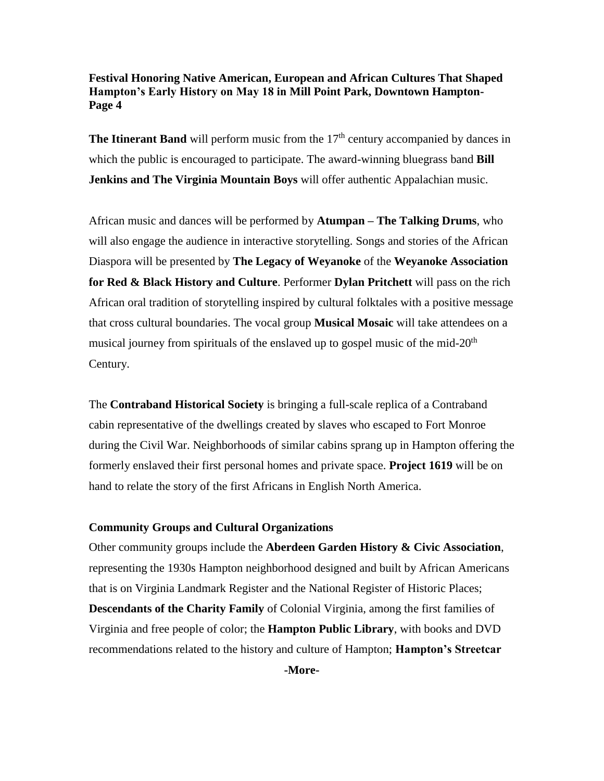**The Itinerant Band** will perform music from the  $17<sup>th</sup>$  century accompanied by dances in which the public is encouraged to participate. The award-winning bluegrass band **Bill Jenkins and The Virginia Mountain Boys** will offer authentic Appalachian music.

African music and dances will be performed by **Atumpan – The Talking Drums**, who will also engage the audience in interactive storytelling. Songs and stories of the African Diaspora will be presented by **The Legacy of Weyanoke** of the **Weyanoke Association for Red & Black History and Culture**. Performer **Dylan Pritchett** will pass on the rich African oral tradition of storytelling inspired by cultural folktales with a positive message that cross cultural boundaries. The vocal group **Musical Mosaic** will take attendees on a musical journey from spirituals of the enslaved up to gospel music of the mid- $20<sup>th</sup>$ Century.

The **Contraband Historical Society** is bringing a full-scale replica of a Contraband cabin representative of the dwellings created by slaves who escaped to Fort Monroe during the Civil War. Neighborhoods of similar cabins sprang up in Hampton offering the formerly enslaved their first personal homes and private space. **Project 1619** will be on hand to relate the story of the first Africans in English North America.

#### **Community Groups and Cultural Organizations**

Other community groups include the **Aberdeen Garden History & Civic Association**, representing the 1930s Hampton neighborhood designed and built by African Americans that is on Virginia Landmark Register and the National Register of Historic Places; **Descendants of the Charity Family** of Colonial Virginia, among the first families of Virginia and free people of color; the **Hampton Public Library**, with books and DVD recommendations related to the history and culture of Hampton; **Hampton's Streetcar** 

**-More-**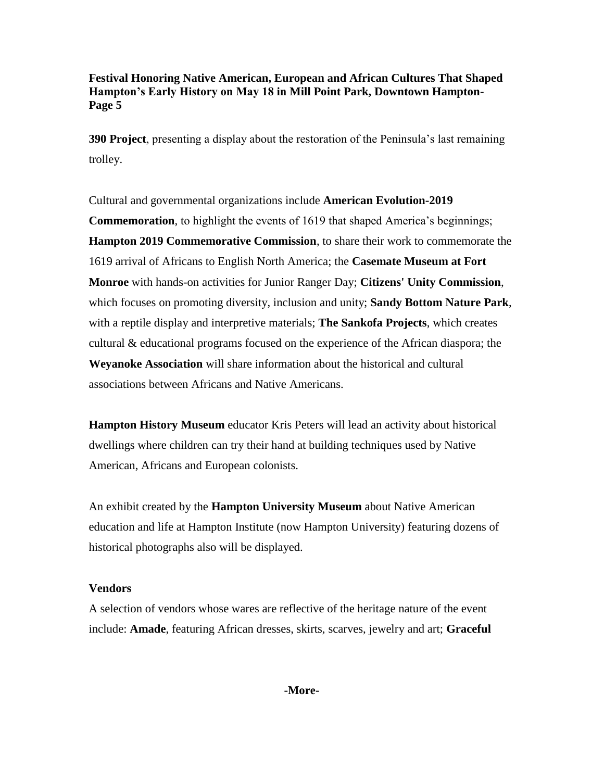**390 Project**, presenting a display about the restoration of the Peninsula's last remaining trolley.

Cultural and governmental organizations include **American Evolution-2019 Commemoration**, to highlight the events of 1619 that shaped America's beginnings; **Hampton 2019 Commemorative Commission**, to share their work to commemorate the 1619 arrival of Africans to English North America; the **Casemate Museum at Fort Monroe** with hands-on activities for Junior Ranger Day; **Citizens' Unity Commission**, which focuses on promoting diversity, inclusion and unity; **Sandy Bottom Nature Park**, with a reptile display and interpretive materials; **The Sankofa Projects**, which creates cultural & educational programs focused on the experience of the African diaspora; the **Weyanoke Association** will share information about the historical and cultural associations between Africans and Native Americans.

**Hampton History Museum** educator Kris Peters will lead an activity about historical dwellings where children can try their hand at building techniques used by Native American, Africans and European colonists.

An exhibit created by the **Hampton University Museum** about Native American education and life at Hampton Institute (now Hampton University) featuring dozens of historical photographs also will be displayed.

#### **Vendors**

A selection of vendors whose wares are reflective of the heritage nature of the event include: **Amade**, featuring African dresses, skirts, scarves, jewelry and art; **Graceful** 

**-More-**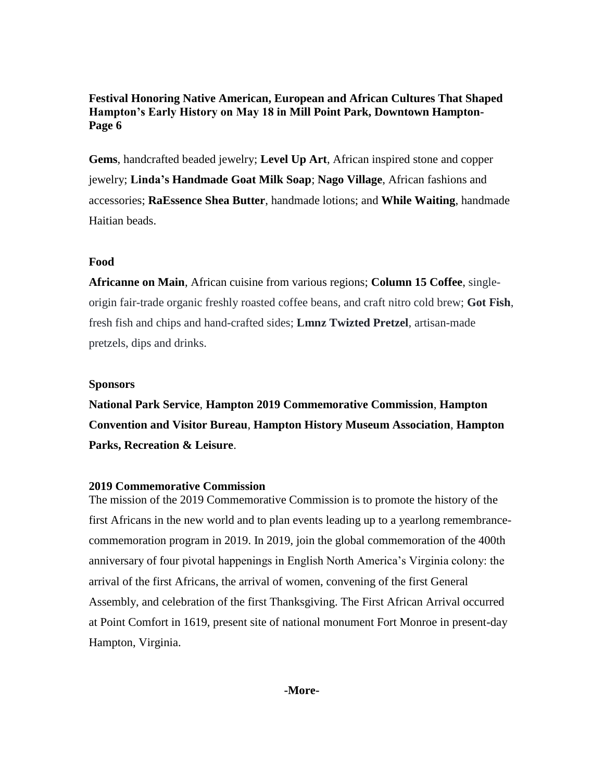**Gems**, handcrafted beaded jewelry; **Level Up Art**, African inspired stone and copper jewelry; **Linda's Handmade Goat Milk Soap**; **Nago Village**, African fashions and accessories; **RaEssence Shea Butter**, handmade lotions; and **While Waiting**, handmade Haitian beads.

# **Food**

**Africanne on Main**, African cuisine from various regions; **Column 15 Coffee**, singleorigin fair-trade organic freshly roasted coffee beans, and craft nitro cold brew; **Got Fish**, fresh fish and chips and hand-crafted sides; **Lmnz Twizted Pretzel**, artisan-made pretzels, dips and drinks.

# **Sponsors**

**National Park Service**, **Hampton 2019 Commemorative Commission**, **Hampton Convention and Visitor Bureau**, **Hampton History Museum Association**, **Hampton Parks, Recreation & Leisure**.

# **2019 Commemorative Commission**

The mission of the 2019 Commemorative Commission is to promote the history of the first Africans in the new world and to plan events leading up to a yearlong remembrancecommemoration program in 2019. In 2019, join the global commemoration of the 400th anniversary of four pivotal happenings in English North America's Virginia colony: the arrival of the first Africans, the arrival of women, convening of the first General Assembly, and celebration of the first Thanksgiving. The First African Arrival occurred at Point Comfort in 1619, present site of national monument Fort Monroe in present-day Hampton, Virginia.